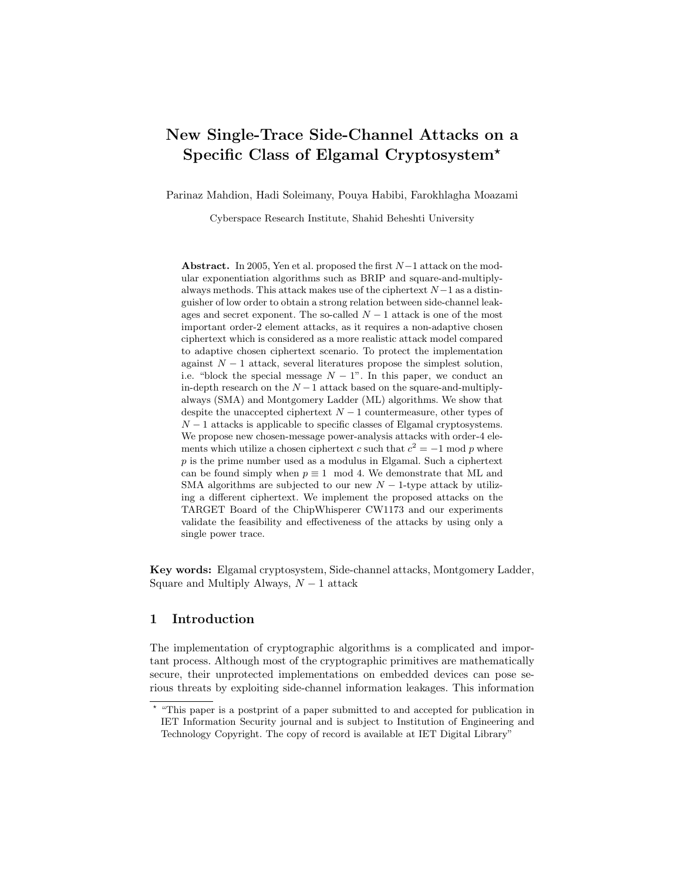# New Single-Trace Side-Channel Attacks on a Specific Class of Elgamal Cryptosystem?

Parinaz Mahdion, Hadi Soleimany, Pouya Habibi, Farokhlagha Moazami

Cyberspace Research Institute, Shahid Beheshti University

Abstract. In 2005, Yen et al. proposed the first  $N-1$  attack on the modular exponentiation algorithms such as BRIP and square-and-multiplyalways methods. This attack makes use of the ciphertext  $N-1$  as a distinguisher of low order to obtain a strong relation between side-channel leakages and secret exponent. The so-called  $N-1$  attack is one of the most important order-2 element attacks, as it requires a non-adaptive chosen ciphertext which is considered as a more realistic attack model compared to adaptive chosen ciphertext scenario. To protect the implementation against  $N-1$  attack, several literatures propose the simplest solution, i.e. "block the special message  $N - 1$ ". In this paper, we conduct an in-depth research on the  $N-1$  attack based on the square-and-multiplyalways (SMA) and Montgomery Ladder (ML) algorithms. We show that despite the unaccepted ciphertext  $N-1$  countermeasure, other types of  $N-1$  attacks is applicable to specific classes of Elgamal cryptosystems. We propose new chosen-message power-analysis attacks with order-4 elements which utilize a chosen ciphertext c such that  $c^2 = -1$  mod p where  $p$  is the prime number used as a modulus in Elgamal. Such a ciphertext can be found simply when  $p \equiv 1 \mod 4$ . We demonstrate that ML and SMA algorithms are subjected to our new  $N-1$ -type attack by utilizing a different ciphertext. We implement the proposed attacks on the TARGET Board of the ChipWhisperer CW1173 and our experiments validate the feasibility and effectiveness of the attacks by using only a single power trace.

Key words: Elgamal cryptosystem, Side-channel attacks, Montgomery Ladder, Square and Multiply Always,  $N-1$  attack

# 1 Introduction

The implementation of cryptographic algorithms is a complicated and important process. Although most of the cryptographic primitives are mathematically secure, their unprotected implementations on embedded devices can pose serious threats by exploiting side-channel information leakages. This information

<sup>?</sup> "This paper is a postprint of a paper submitted to and accepted for publication in IET Information Security journal and is subject to Institution of Engineering and Technology Copyright. The copy of record is available at IET Digital Library"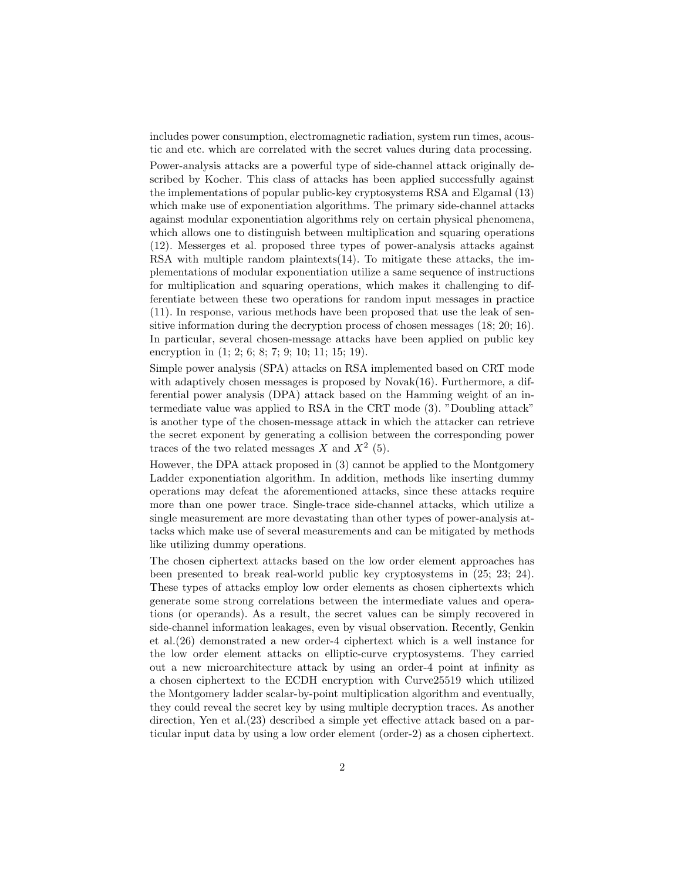includes power consumption, electromagnetic radiation, system run times, acoustic and etc. which are correlated with the secret values during data processing.

Power-analysis attacks are a powerful type of side-channel attack originally described by Kocher. This class of attacks has been applied successfully against the implementations of popular public-key cryptosystems RSA and Elgamal (13) which make use of exponentiation algorithms. The primary side-channel attacks against modular exponentiation algorithms rely on certain physical phenomena, which allows one to distinguish between multiplication and squaring operations (12). Messerges et al. proposed three types of power-analysis attacks against RSA with multiple random plaintexts(14). To mitigate these attacks, the implementations of modular exponentiation utilize a same sequence of instructions for multiplication and squaring operations, which makes it challenging to differentiate between these two operations for random input messages in practice (11). In response, various methods have been proposed that use the leak of sensitive information during the decryption process of chosen messages (18; 20; 16). In particular, several chosen-message attacks have been applied on public key encryption in  $(1; 2; 6; 8; 7; 9; 10; 11; 15; 19)$ .

Simple power analysis (SPA) attacks on RSA implemented based on CRT mode with adaptively chosen messages is proposed by Novak $(16)$ . Furthermore, a differential power analysis (DPA) attack based on the Hamming weight of an intermediate value was applied to RSA in the CRT mode (3). "Doubling attack" is another type of the chosen-message attack in which the attacker can retrieve the secret exponent by generating a collision between the corresponding power traces of the two related messages X and  $X^2$  (5).

However, the DPA attack proposed in (3) cannot be applied to the Montgomery Ladder exponentiation algorithm. In addition, methods like inserting dummy operations may defeat the aforementioned attacks, since these attacks require more than one power trace. Single-trace side-channel attacks, which utilize a single measurement are more devastating than other types of power-analysis attacks which make use of several measurements and can be mitigated by methods like utilizing dummy operations.

The chosen ciphertext attacks based on the low order element approaches has been presented to break real-world public key cryptosystems in (25; 23; 24). These types of attacks employ low order elements as chosen ciphertexts which generate some strong correlations between the intermediate values and operations (or operands). As a result, the secret values can be simply recovered in side-channel information leakages, even by visual observation. Recently, Genkin et al.(26) demonstrated a new order-4 ciphertext which is a well instance for the low order element attacks on elliptic-curve cryptosystems. They carried out a new microarchitecture attack by using an order-4 point at infinity as a chosen ciphertext to the ECDH encryption with Curve25519 which utilized the Montgomery ladder scalar-by-point multiplication algorithm and eventually, they could reveal the secret key by using multiple decryption traces. As another direction, Yen et al.(23) described a simple yet effective attack based on a particular input data by using a low order element (order-2) as a chosen ciphertext.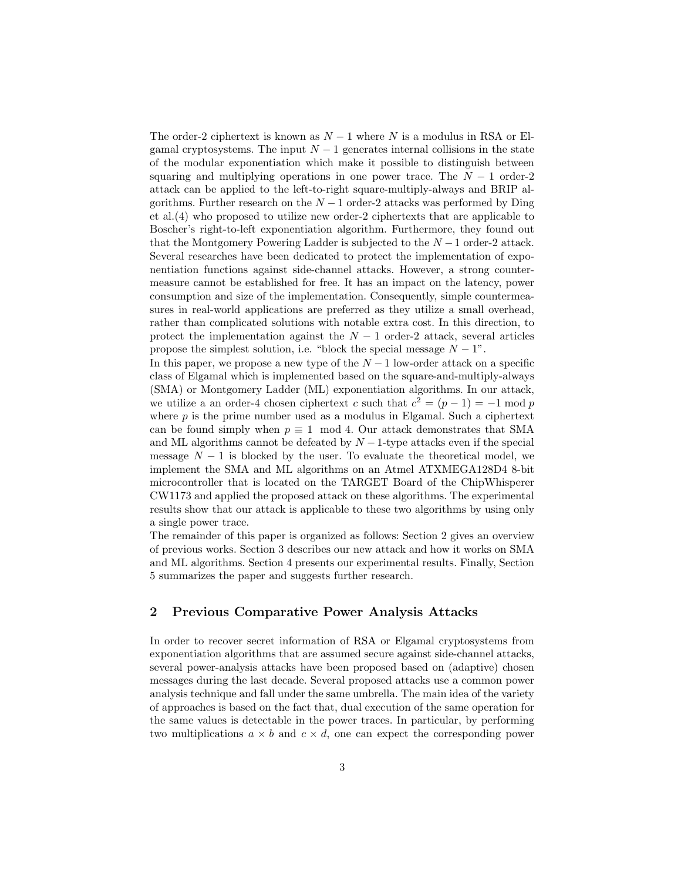The order-2 ciphertext is known as  $N-1$  where N is a modulus in RSA or Elgamal cryptosystems. The input  $N-1$  generates internal collisions in the state of the modular exponentiation which make it possible to distinguish between squaring and multiplying operations in one power trace. The  $N-1$  order-2 attack can be applied to the left-to-right square-multiply-always and BRIP algorithms. Further research on the  $N-1$  order-2 attacks was performed by Ding et al.(4) who proposed to utilize new order-2 ciphertexts that are applicable to Boscher's right-to-left exponentiation algorithm. Furthermore, they found out that the Montgomery Powering Ladder is subjected to the  $N-1$  order-2 attack. Several researches have been dedicated to protect the implementation of exponentiation functions against side-channel attacks. However, a strong countermeasure cannot be established for free. It has an impact on the latency, power consumption and size of the implementation. Consequently, simple countermeasures in real-world applications are preferred as they utilize a small overhead, rather than complicated solutions with notable extra cost. In this direction, to protect the implementation against the  $N-1$  order-2 attack, several articles propose the simplest solution, i.e. "block the special message  $N - 1$ ".

In this paper, we propose a new type of the  $N-1$  low-order attack on a specific class of Elgamal which is implemented based on the square-and-multiply-always (SMA) or Montgomery Ladder (ML) exponentiation algorithms. In our attack, we utilize a an order-4 chosen ciphertext c such that  $c^2 = (p-1) = -1 \mod p$ where  $p$  is the prime number used as a modulus in Elgamal. Such a ciphertext can be found simply when  $p \equiv 1 \mod 4$ . Our attack demonstrates that SMA and ML algorithms cannot be defeated by  $N-1$ -type attacks even if the special message  $N-1$  is blocked by the user. To evaluate the theoretical model, we implement the SMA and ML algorithms on an Atmel ATXMEGA128D4 8-bit microcontroller that is located on the TARGET Board of the ChipWhisperer CW1173 and applied the proposed attack on these algorithms. The experimental results show that our attack is applicable to these two algorithms by using only a single power trace.

The remainder of this paper is organized as follows: Section 2 gives an overview of previous works. Section 3 describes our new attack and how it works on SMA and ML algorithms. Section 4 presents our experimental results. Finally, Section 5 summarizes the paper and suggests further research.

# 2 Previous Comparative Power Analysis Attacks

In order to recover secret information of RSA or Elgamal cryptosystems from exponentiation algorithms that are assumed secure against side-channel attacks, several power-analysis attacks have been proposed based on (adaptive) chosen messages during the last decade. Several proposed attacks use a common power analysis technique and fall under the same umbrella. The main idea of the variety of approaches is based on the fact that, dual execution of the same operation for the same values is detectable in the power traces. In particular, by performing two multiplications  $a \times b$  and  $c \times d$ , one can expect the corresponding power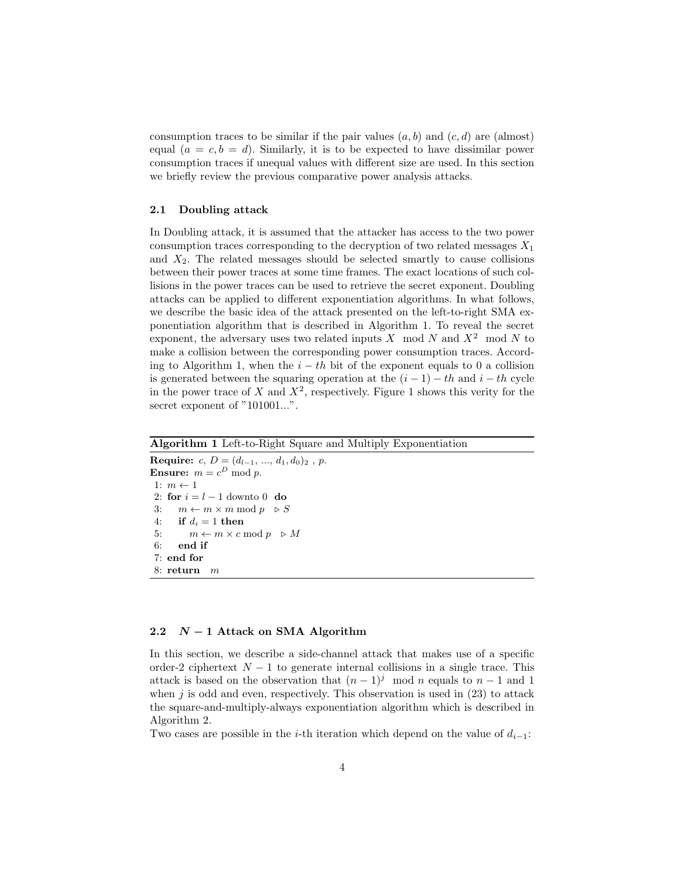consumption traces to be similar if the pair values  $(a, b)$  and  $(c, d)$  are (almost) equal  $(a = c, b = d)$ . Similarly, it is to be expected to have dissimilar power consumption traces if unequal values with different size are used. In this section we briefly review the previous comparative power analysis attacks.

#### 2.1 Doubling attack

In Doubling attack, it is assumed that the attacker has access to the two power consumption traces corresponding to the decryption of two related messages  $X_1$ and  $X_2$ . The related messages should be selected smartly to cause collisions between their power traces at some time frames. The exact locations of such collisions in the power traces can be used to retrieve the secret exponent. Doubling attacks can be applied to different exponentiation algorithms. In what follows, we describe the basic idea of the attack presented on the left-to-right SMA exponentiation algorithm that is described in Algorithm 1. To reveal the secret exponent, the adversary uses two related inputs  $X \mod N$  and  $X^2 \mod N$  to make a collision between the corresponding power consumption traces. According to Algorithm 1, when the  $i - th$  bit of the exponent equals to 0 a collision is generated between the squaring operation at the  $(i - 1) - th$  and  $i - th$  cycle in the power trace of X and  $X^2$ , respectively. Figure 1 shows this verity for the secret exponent of "101001...".

#### Algorithm 1 Left-to-Right Square and Multiply Exponentiation

Require: c,  $D = (d_{l-1}, ..., d_1, d_0)_2$ , p. **Ensure:**  $m = c^D \bmod p$ . 1:  $m \leftarrow 1$ 2: for  $i = l - 1$  downto 0 do 3:  $m \leftarrow m \times m \mod p \geq S$ 4: if  $d_i = 1$  then 5:  $m \leftarrow m \times c \mod p \Rightarrow M$ 6: end if 7: end for 8: return m

### 2.2  $N-1$  Attack on SMA Algorithm

In this section, we describe a side-channel attack that makes use of a specific order-2 ciphertext  $N-1$  to generate internal collisions in a single trace. This attack is based on the observation that  $(n-1)^j \mod n$  equals to  $n-1$  and 1 when  $j$  is odd and even, respectively. This observation is used in (23) to attack the square-and-multiply-always exponentiation algorithm which is described in Algorithm 2.

Two cases are possible in the *i*-th iteration which depend on the value of  $d_{i-1}$ :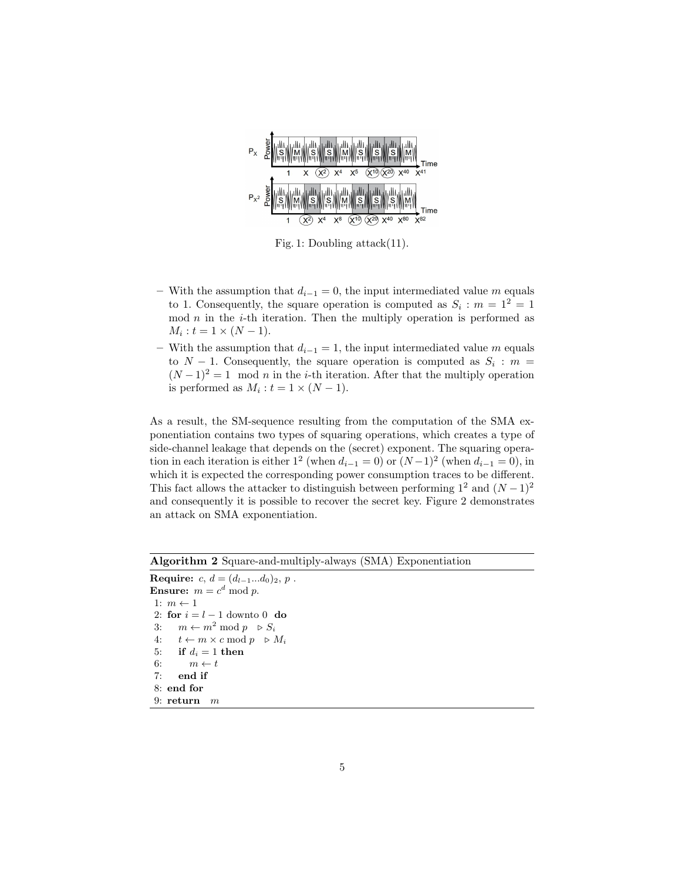

Fig. 1: Doubling attack(11).

- With the assumption that  $d_{i-1} = 0$ , the input intermediated value m equals to 1. Consequently, the square operation is computed as  $S_i$ :  $m = 1^2 = 1$ mod  $n$  in the *i*-th iteration. Then the multiply operation is performed as  $M_i : t = 1 \times (N - 1).$
- With the assumption that  $d_{i-1} = 1$ , the input intermediated value m equals to  $N-1$ . Consequently, the square operation is computed as  $S_i$ :  $m =$  $(N-1)^2=1 \mod n$  in the *i*-th iteration. After that the multiply operation is performed as  $M_i : t = 1 \times (N - 1)$ .

As a result, the SM-sequence resulting from the computation of the SMA exponentiation contains two types of squaring operations, which creates a type of side-channel leakage that depends on the (secret) exponent. The squaring operation in each iteration is either  $1^2$  (when  $d_{i-1} = 0$ ) or  $(N-1)^2$  (when  $d_{i-1} = 0$ ), in which it is expected the corresponding power consumption traces to be different. This fact allows the attacker to distinguish between performing  $1^2$  and  $(N-1)^2$ and consequently it is possible to recover the secret key. Figure 2 demonstrates an attack on SMA exponentiation.

Algorithm 2 Square-and-multiply-always (SMA) Exponentiation

Require:  $c, d = (d_{l-1}...d_0)_2, p$ . **Ensure:**  $m = c^d \bmod p$ . 1:  $m \leftarrow 1$ 2: for  $i = l - 1$  downto 0 do 3:  $m \leftarrow m^2 \mod p \quad \triangleright S_i$ 4:  $t \leftarrow m \times c \mod p \Rightarrow M_i$ 5: if  $d_i = 1$  then 6:  $m \leftarrow t$ 7: end if 8: end for 9: return  $m$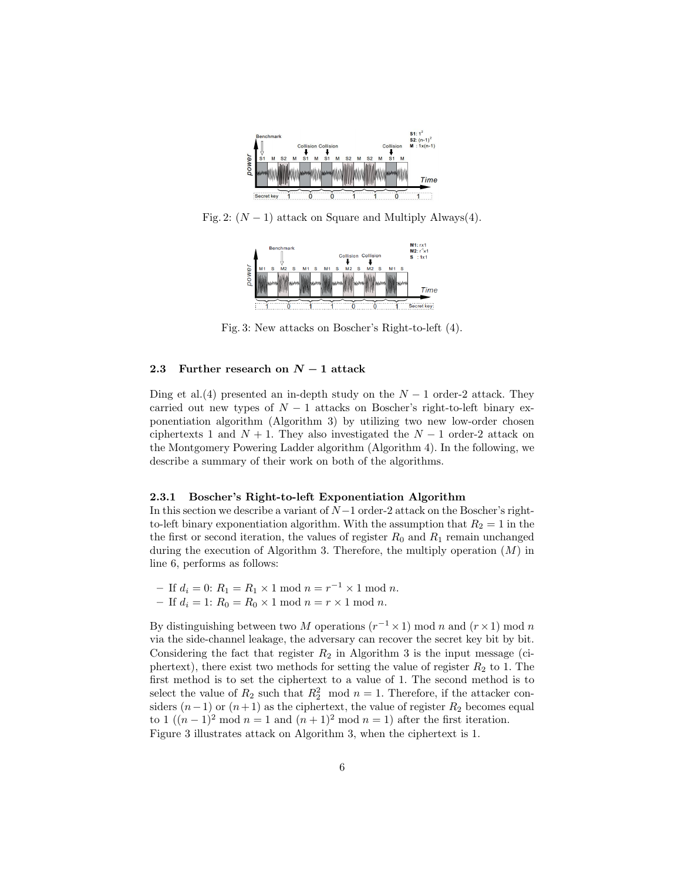

Fig. 2:  $(N-1)$  attack on Square and Multiply Always(4).



Fig. 3: New attacks on Boscher's Right-to-left (4).

#### 2.3 Further research on  $N-1$  attack

Ding et al.(4) presented an in-depth study on the  $N-1$  order-2 attack. They carried out new types of  $N-1$  attacks on Boscher's right-to-left binary exponentiation algorithm (Algorithm 3) by utilizing two new low-order chosen ciphertexts 1 and  $N + 1$ . They also investigated the  $N - 1$  order-2 attack on the Montgomery Powering Ladder algorithm (Algorithm 4). In the following, we describe a summary of their work on both of the algorithms.

#### 2.3.1 Boscher's Right-to-left Exponentiation Algorithm

In this section we describe a variant of N−1 order-2 attack on the Boscher's rightto-left binary exponentiation algorithm. With the assumption that  $R_2 = 1$  in the the first or second iteration, the values of register  $R_0$  and  $R_1$  remain unchanged during the execution of Algorithm 3. Therefore, the multiply operation  $(M)$  in line 6, performs as follows:

- If 
$$
d_i = 0
$$
:  $R_1 = R_1 \times 1 \mod n = r^{-1} \times 1 \mod n$ .  
- If  $d_i = 1$ :  $R_0 = R_0 \times 1 \mod n = r \times 1 \mod n$ .

By distinguishing between two M operations  $(r^{-1} \times 1)$  mod n and  $(r \times 1)$  mod n via the side-channel leakage, the adversary can recover the secret key bit by bit. Considering the fact that register  $R_2$  in Algorithm 3 is the input message (ciphertext), there exist two methods for setting the value of register  $R_2$  to 1. The first method is to set the ciphertext to a value of 1. The second method is to select the value of  $R_2$  such that  $R_2^2$  mod  $n = 1$ . Therefore, if the attacker considers  $(n-1)$  or  $(n+1)$  as the ciphertext, the value of register  $R_2$  becomes equal to 1  $((n-1)^2 \mod n = 1$  and  $(n+1)^2 \mod n = 1$ ) after the first iteration. Figure 3 illustrates attack on Algorithm 3, when the ciphertext is 1.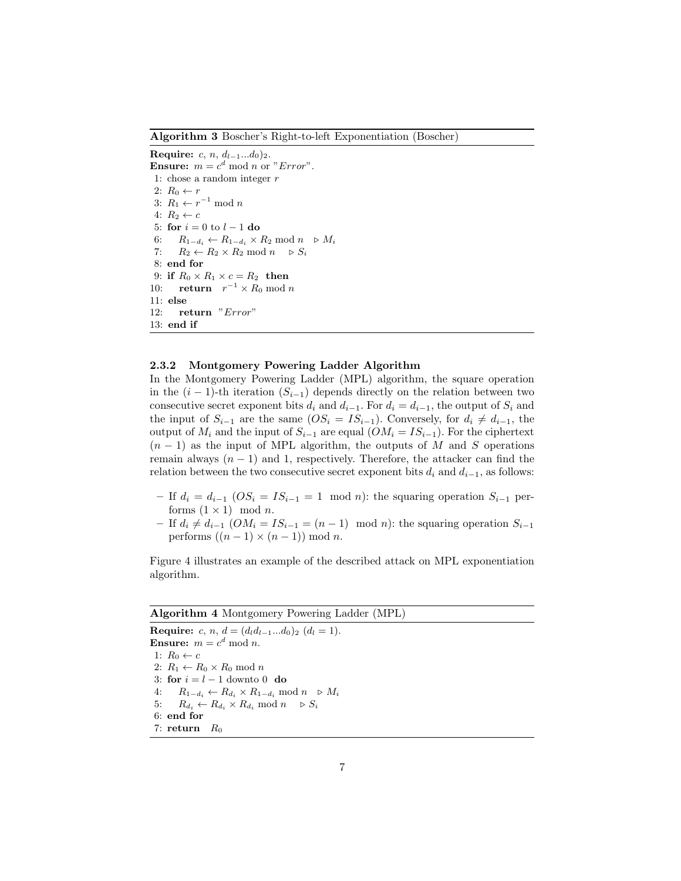Algorithm 3 Boscher's Right-to-left Exponentiation (Boscher)

Require:  $c, n, d_{l-1}...d_0$ )<sub>2</sub>. **Ensure:**  $m = c^d \mod n$  or "*Error*". 1: chose a random integer  $r$ 2:  $R_0 \leftarrow r$ 3:  $R_1 \leftarrow r^{-1} \mod n$ 4:  $R_2 \leftarrow c$ 5: for  $i = 0$  to  $l - 1$  do 6:  $R_{1-d_i} \leftarrow R_{1-d_i} \times R_2 \mod n \ \triangleright M_i$ 7:  $R_2 \leftarrow R_2 \times R_2 \mod n \quad \triangleright S_i$ 8: end for 9: if  $R_0 \times R_1 \times c = R_2$  then 10: **return**  $r^{-1} \times R_0 \text{ mod } n$ 11: else 12: return "Error" 13: end if

#### 2.3.2 Montgomery Powering Ladder Algorithm

In the Montgomery Powering Ladder (MPL) algorithm, the square operation in the  $(i - 1)$ -th iteration  $(S_{i-1})$  depends directly on the relation between two consecutive secret exponent bits  $d_i$  and  $d_{i-1}$ . For  $d_i = d_{i-1}$ , the output of  $S_i$  and the input of  $S_{i-1}$  are the same  $OS_i = IS_{i-1}$ ). Conversely, for  $d_i \neq d_{i-1}$ , the output of  $M_i$  and the input of  $S_{i-1}$  are equal  $(OM_i = IS_{i-1})$ . For the ciphertext  $(n-1)$  as the input of MPL algorithm, the outputs of M and S operations remain always  $(n - 1)$  and 1, respectively. Therefore, the attacker can find the relation between the two consecutive secret exponent bits  $d_i$  and  $d_{i-1}$ , as follows:

- If  $d_i = d_{i-1}$   $OS_i = IS_{i-1} = 1 \mod n$ : the squaring operation  $S_{i-1}$  performs  $(1 \times 1)$  mod *n*.
- If  $d_i \neq d_{i-1}$  (*OM<sub>i</sub>* = *IS<sub>i−1</sub>* =  $(n-1)$  mod *n*): the squaring operation  $S_{i-1}$ performs  $((n-1) \times (n-1)) \mod n$ .

Figure 4 illustrates an example of the described attack on MPL exponentiation algorithm.

#### Algorithm 4 Montgomery Powering Ladder (MPL)

Require: c, n,  $d = (d_l d_{l-1}... d_0)_2$   $(d_l = 1)$ . **Ensure:**  $m = c^d \mod n$ . 1:  $R_0 \leftarrow c$ 2:  $R_1 \leftarrow R_0 \times R_0 \mod n$ 3: for  $i = l - 1$  downto 0 do 4:  $R_{1-d_i} \leftarrow R_{d_i} \times R_{1-d_i} \mod n \quad \triangleright M_i$ 5:  $R_{d_i} \leftarrow R_{d_i} \times R_{d_i} \mod n \quad \triangleright S_i$ 6: end for 7: return  $R_0$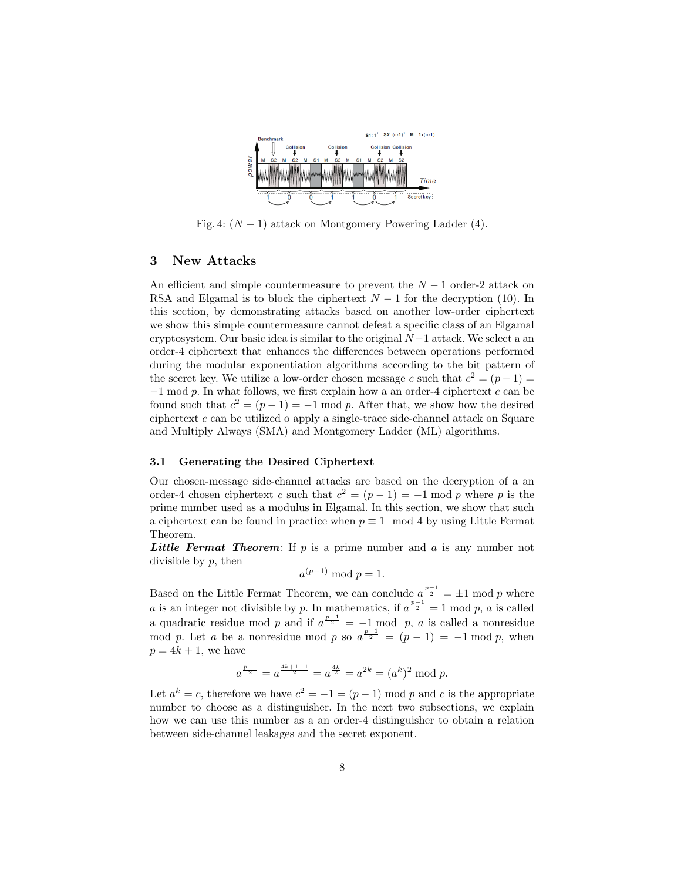

Fig. 4:  $(N-1)$  attack on Montgomery Powering Ladder (4).

#### 3 New Attacks

An efficient and simple countermeasure to prevent the  $N-1$  order-2 attack on RSA and Elgamal is to block the ciphertext  $N-1$  for the decryption (10). In this section, by demonstrating attacks based on another low-order ciphertext we show this simple countermeasure cannot defeat a specific class of an Elgamal cryptosystem. Our basic idea is similar to the original  $N-1$  attack. We select a an order-4 ciphertext that enhances the differences between operations performed during the modular exponentiation algorithms according to the bit pattern of the secret key. We utilize a low-order chosen message c such that  $c^2 = (p-1)$  $-1$  mod p. In what follows, we first explain how a an order-4 ciphertext c can be found such that  $c^2 = (p-1) = -1 \mod p$ . After that, we show how the desired ciphertext  $c$  can be utilized o apply a single-trace side-channel attack on Square and Multiply Always (SMA) and Montgomery Ladder (ML) algorithms.

#### 3.1 Generating the Desired Ciphertext

Our chosen-message side-channel attacks are based on the decryption of a an order-4 chosen ciphertext c such that  $c^2 = (p-1) = -1$  mod p where p is the prime number used as a modulus in Elgamal. In this section, we show that such a ciphertext can be found in practice when  $p \equiv 1 \mod 4$  by using Little Fermat Theorem.

**Little Fermat Theorem:** If p is a prime number and a is any number not divisible by  $p$ , then

$$
a^{(p-1)} \bmod p = 1.
$$

Based on the Little Fermat Theorem, we can conclude  $a^{\frac{p-1}{2}} = \pm 1 \mod p$  where a is an integer not divisible by p. In mathematics, if  $a^{\frac{p-1}{2}} = 1 \text{ mod } p$ , a is called a quadratic residue mod p and if  $a^{\frac{p-1}{2}} = -1$  mod p, a is called a nonresidue mod p. Let a be a nonresidue mod p so  $a^{\frac{p-1}{2}} = (p-1) = -1 \mod p$ , when  $p = 4k + 1$ , we have

$$
a^{\frac{p-1}{2}} = a^{\frac{4k+1-1}{2}} = a^{\frac{4k}{2}} = a^{2k} = (a^k)^2 \bmod p.
$$

Let  $a^k = c$ , therefore we have  $c^2 = -1 = (p-1) \mod p$  and c is the appropriate number to choose as a distinguisher. In the next two subsections, we explain how we can use this number as a an order-4 distinguisher to obtain a relation between side-channel leakages and the secret exponent.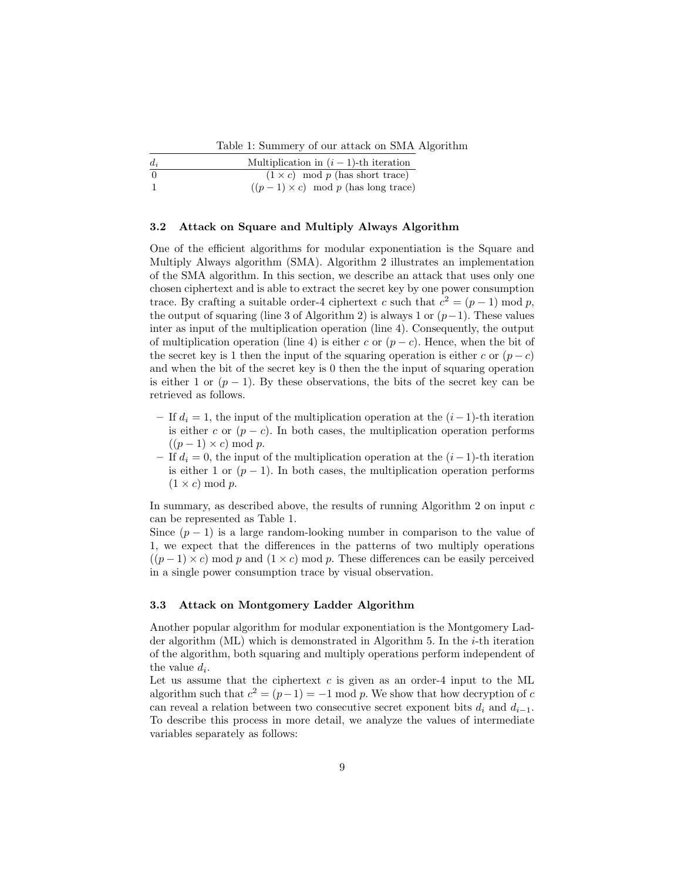Table 1: Summery of our attack on SMA Algorithm

| $d_i$ | Multiplication in $(i - 1)$ -th iteration  |
|-------|--------------------------------------------|
| - 0   | $(1 \times c) \mod p$ (has short trace)    |
|       | $((p-1) \times c) \mod p$ (has long trace) |

#### 3.2 Attack on Square and Multiply Always Algorithm

One of the efficient algorithms for modular exponentiation is the Square and Multiply Always algorithm (SMA). Algorithm 2 illustrates an implementation of the SMA algorithm. In this section, we describe an attack that uses only one chosen ciphertext and is able to extract the secret key by one power consumption trace. By crafting a suitable order-4 ciphertext c such that  $c^2 = (p-1) \mod p$ , the output of squaring (line 3 of Algorithm 2) is always 1 or  $(p-1)$ . These values inter as input of the multiplication operation (line 4). Consequently, the output of multiplication operation (line 4) is either c or  $(p - c)$ . Hence, when the bit of the secret key is 1 then the input of the squaring operation is either c or  $(p - c)$ and when the bit of the secret key is 0 then the the input of squaring operation is either 1 or  $(p-1)$ . By these observations, the bits of the secret key can be retrieved as follows.

- If  $d_i = 1$ , the input of the multiplication operation at the  $(i-1)$ -th iteration is either c or  $(p - c)$ . In both cases, the multiplication operation performs  $((p-1) \times c) \bmod p$ .
- If  $d_i = 0$ , the input of the multiplication operation at the  $(i-1)$ -th iteration is either 1 or  $(p-1)$ . In both cases, the multiplication operation performs  $(1 \times c) \bmod p$ .

In summary, as described above, the results of running Algorithm 2 on input  $c$ can be represented as Table 1.

Since  $(p-1)$  is a large random-looking number in comparison to the value of 1, we expect that the differences in the patterns of two multiply operations  $((p-1) \times c)$  mod p and  $(1 \times c)$  mod p. These differences can be easily perceived in a single power consumption trace by visual observation.

#### 3.3 Attack on Montgomery Ladder Algorithm

Another popular algorithm for modular exponentiation is the Montgomery Ladder algorithm (ML) which is demonstrated in Algorithm 5. In the i-th iteration of the algorithm, both squaring and multiply operations perform independent of the value  $d_i$ .

Let us assume that the ciphertext  $c$  is given as an order-4 input to the ML algorithm such that  $c^2 = (p-1) = -1$  mod p. We show that how decryption of c can reveal a relation between two consecutive secret exponent bits  $d_i$  and  $d_{i-1}$ . To describe this process in more detail, we analyze the values of intermediate variables separately as follows: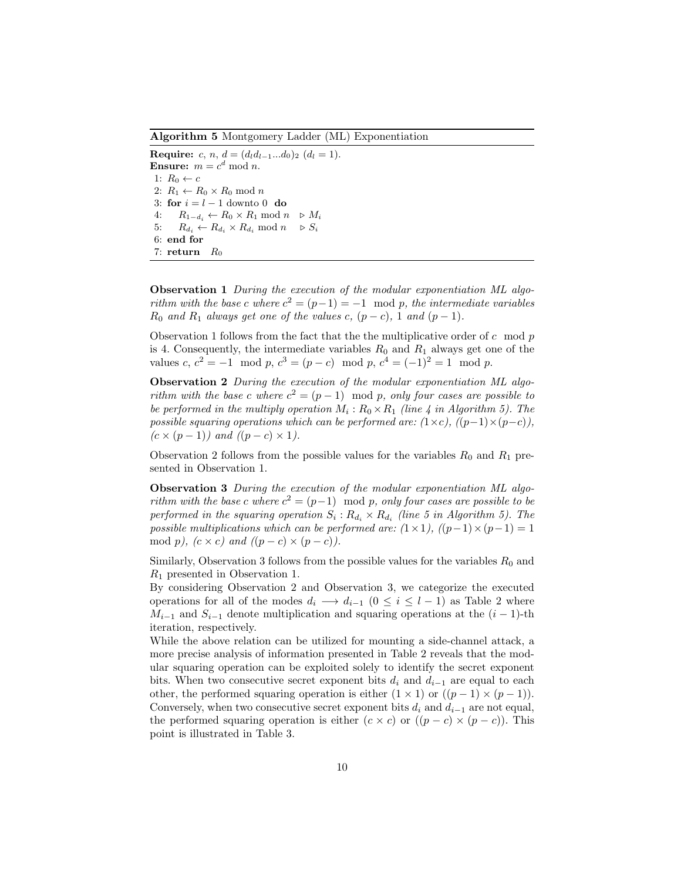Algorithm 5 Montgomery Ladder (ML) Exponentiation

Require: c, n,  $d = (d_l d_{l-1}... d_0)_2$   $(d_l = 1)$ . **Ensure:**  $m = c^d \mod n$ . 1:  $R_0 \leftarrow c$ 2:  $R_1 \leftarrow R_0 \times R_0 \mod n$ 3: for  $i = l - 1$  downto 0 do 4:  $R_{1-d_i} \leftarrow R_0 \times R_1 \mod n \quad \triangleright M_i$ 5:  $R_{d_i} \leftarrow R_{d_i} \times R_{d_i} \mod n \quad \triangleright S_i$ 6: end for 7: return  $R_0$ 

Observation 1 During the execution of the modular exponentiation ML algorithm with the base c where  $c^2 = (p-1) = -1 \mod p$ , the intermediate variables  $R_0$  and  $R_1$  always get one of the values c,  $(p - c)$ , 1 and  $(p - 1)$ .

Observation 1 follows from the fact that the the multiplicative order of  $c \mod p$ is 4. Consequently, the intermediate variables  $R_0$  and  $R_1$  always get one of the values  $c, c^2 = -1 \mod p, c^3 = (p - c) \mod p, c^4 = (-1)^2 = 1 \mod p.$ 

Observation 2 During the execution of the modular exponentiation ML algorithm with the base c where  $c^2 = (p-1) \mod p$ , only four cases are possible to be performed in the multiply operation  $M_i: R_0 \times R_1$  (line 4 in Algorithm 5). The possible squaring operations which can be performed are:  $(1 \times c)$ ,  $((p-1) \times (p-c))$ ,  $(c \times (p-1))$  and  $((p-c) \times 1)$ .

Observation 2 follows from the possible values for the variables  $R_0$  and  $R_1$  presented in Observation 1.

Observation 3 During the execution of the modular exponentiation ML algorithm with the base c where  $c^2 = (p-1) \mod p$ , only four cases are possible to be performed in the squaring operation  $S_i: R_{d_i} \times R_{d_i}$  (line 5 in Algorithm 5). The possible multiplications which can be performed are:  $(1 \times 1)$ ,  $((p-1) \times (p-1) = 1$ mod p),  $(c \times c)$  and  $((p - c) \times (p - c))$ .

Similarly, Observation 3 follows from the possible values for the variables  $R_0$  and R<sup>1</sup> presented in Observation 1.

By considering Observation 2 and Observation 3, we categorize the executed operations for all of the modes  $d_i \longrightarrow d_{i-1}$   $(0 \leq i \leq l-1)$  as Table 2 where  $M_{i-1}$  and  $S_{i-1}$  denote multiplication and squaring operations at the  $(i - 1)$ -th iteration, respectively.

While the above relation can be utilized for mounting a side-channel attack, a more precise analysis of information presented in Table 2 reveals that the modular squaring operation can be exploited solely to identify the secret exponent bits. When two consecutive secret exponent bits  $d_i$  and  $d_{i-1}$  are equal to each other, the performed squaring operation is either  $(1 \times 1)$  or  $((p-1) \times (p-1))$ . Conversely, when two consecutive secret exponent bits  $d_i$  and  $d_{i-1}$  are not equal, the performed squaring operation is either  $(c \times c)$  or  $((p - c) \times (p - c))$ . This point is illustrated in Table 3.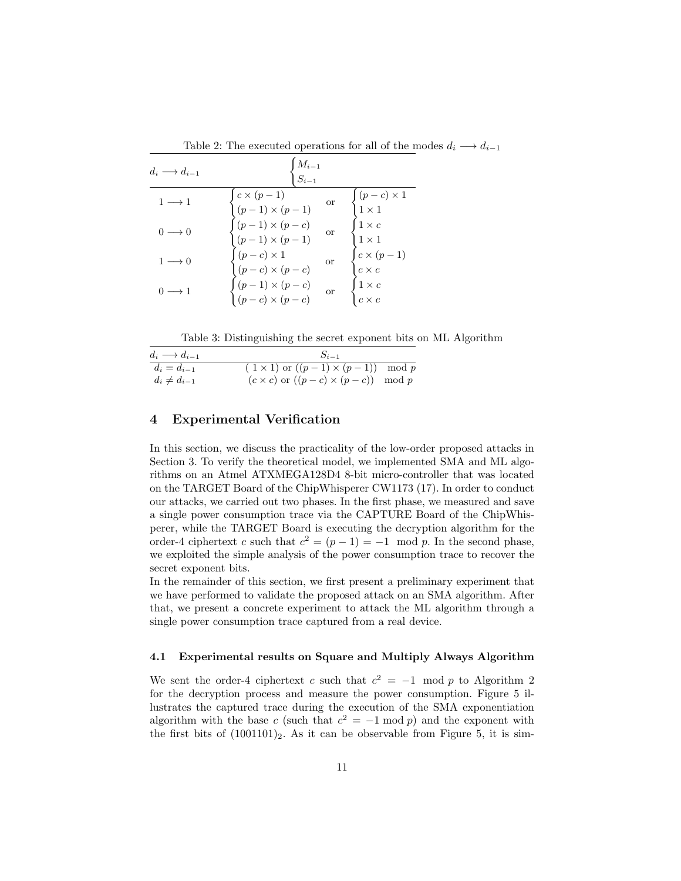| $d_i \longrightarrow d_{i-1}$ | $\frac{M_{i-1}}{\int S_{i-1}}$                                                                                                                                                                                                                                                                                                                                 |                                                          |
|-------------------------------|----------------------------------------------------------------------------------------------------------------------------------------------------------------------------------------------------------------------------------------------------------------------------------------------------------------------------------------------------------------|----------------------------------------------------------|
| $1 \rightarrow 1$             |                                                                                                                                                                                                                                                                                                                                                                | $\begin{cases} (p-c) \times 1 \\ 1 \times 1 \end{cases}$ |
| $() \longrightarrow ()$       | $\begin{cases} c\times (p-1) \qquad \qquad \text{or} \cr (p-1)\times (p-1) \qquad \text{or} \cr \begin{cases} (p-1)\times (p-c) \qquad \text{or} \cr (p-1)\times (p-1) \qquad \text{or} \cr (p-c)\times 1 \qquad \qquad \text{or} \cr (p-1)\times (p-c) \qquad \text{or} \cr (p-c)\times (p-c) \qquad \text{or} \cr (p-c)\times (p-c) \end{cases} \end{cases}$ | $\begin{cases} 1 \times c \\ 1 \times 1 \end{cases}$     |
| $1 \longrightarrow 0$         |                                                                                                                                                                                                                                                                                                                                                                | $\begin{cases} c \times (p-1) \\ c \times c \end{cases}$ |
|                               |                                                                                                                                                                                                                                                                                                                                                                | $\begin{cases} 1 \times c \\ c \times c \end{cases}$     |

Table 2: The executed operations for all of the modes  $d_i \longrightarrow d_{i-1}$ 

Table 3: Distinguishing the secret exponent bits on ML Algorithm

| $d_i \longrightarrow d_{i-1}$ | $S_{i-1}$                                          |  |  |
|-------------------------------|----------------------------------------------------|--|--|
| $d_i = d_{i-1}$               | $(1 \times 1)$ or $((p-1) \times (p-1))$ mod p     |  |  |
| $d_i \neq d_{i-1}$            | $(c \times c)$ or $((p - c) \times (p - c))$ mod p |  |  |

# 4 Experimental Verification

In this section, we discuss the practicality of the low-order proposed attacks in Section 3. To verify the theoretical model, we implemented SMA and ML algorithms on an Atmel ATXMEGA128D4 8-bit micro-controller that was located on the TARGET Board of the ChipWhisperer CW1173 (17). In order to conduct our attacks, we carried out two phases. In the first phase, we measured and save a single power consumption trace via the CAPTURE Board of the ChipWhisperer, while the TARGET Board is executing the decryption algorithm for the order-4 ciphertext c such that  $c^2 = (p-1) = -1 \mod p$ . In the second phase, we exploited the simple analysis of the power consumption trace to recover the secret exponent bits.

In the remainder of this section, we first present a preliminary experiment that we have performed to validate the proposed attack on an SMA algorithm. After that, we present a concrete experiment to attack the ML algorithm through a single power consumption trace captured from a real device.

# 4.1 Experimental results on Square and Multiply Always Algorithm

We sent the order-4 ciphertext c such that  $c^2 = -1 \mod p$  to Algorithm 2 for the decryption process and measure the power consumption. Figure 5 illustrates the captured trace during the execution of the SMA exponentiation algorithm with the base c (such that  $c^2 = -1 \mod p$ ) and the exponent with the first bits of  $(1001101)_2$ . As it can be observable from Figure 5, it is sim-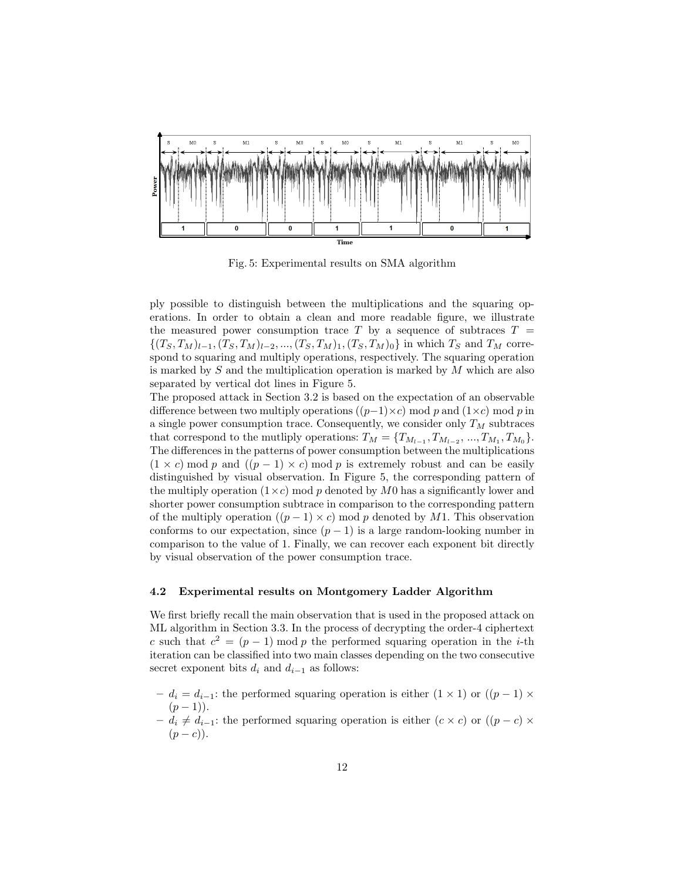

Fig. 5: Experimental results on SMA algorithm

ply possible to distinguish between the multiplications and the squaring operations. In order to obtain a clean and more readable figure, we illustrate the measured power consumption trace T by a sequence of subtraces  $T =$  $\{(T_S, T_M)_{l=1}, (T_S, T_M)_{l=2}, ..., (T_S, T_M)_{1}, (T_S, T_M)_{0}\}\$ in which  $T_S$  and  $T_M$  correspond to squaring and multiply operations, respectively. The squaring operation is marked by  $S$  and the multiplication operation is marked by  $M$  which are also separated by vertical dot lines in Figure 5.

The proposed attack in Section 3.2 is based on the expectation of an observable difference between two multiply operations  $((p-1)\times c)$  mod p and  $(1\times c)$  mod p in a single power consumption trace. Consequently, we consider only  $T_M$  subtraces that correspond to the mutliply operations:  $T_M = \{T_{M_{l-1}}, T_{M_{l-2}}, ..., T_{M_1}, T_{M_0}\}.$ The differences in the patterns of power consumption between the multiplications  $(1 \times c)$  mod p and  $((p - 1) \times c)$  mod p is extremely robust and can be easily distinguished by visual observation. In Figure 5, the corresponding pattern of the multiply operation  $(1\times c)$  mod p denoted by M0 has a significantly lower and shorter power consumption subtrace in comparison to the corresponding pattern of the multiply operation  $((p-1)\times c)$  mod p denoted by M1. This observation conforms to our expectation, since  $(p-1)$  is a large random-looking number in comparison to the value of 1. Finally, we can recover each exponent bit directly by visual observation of the power consumption trace.

#### 4.2 Experimental results on Montgomery Ladder Algorithm

We first briefly recall the main observation that is used in the proposed attack on ML algorithm in Section 3.3. In the process of decrypting the order-4 ciphertext c such that  $c^2 = (p-1) \mod p$  the performed squaring operation in the *i*-th iteration can be classified into two main classes depending on the two consecutive secret exponent bits  $d_i$  and  $d_{i-1}$  as follows:

- $-d_i = d_{i-1}$ : the performed squaring operation is either (1 × 1) or ((p − 1) ×  $(p-1)$ ).
- $-d_i \neq d_{i-1}$ : the performed squaring operation is either  $(c \times c)$  or  $((p c) \times$  $(p-c)$ ).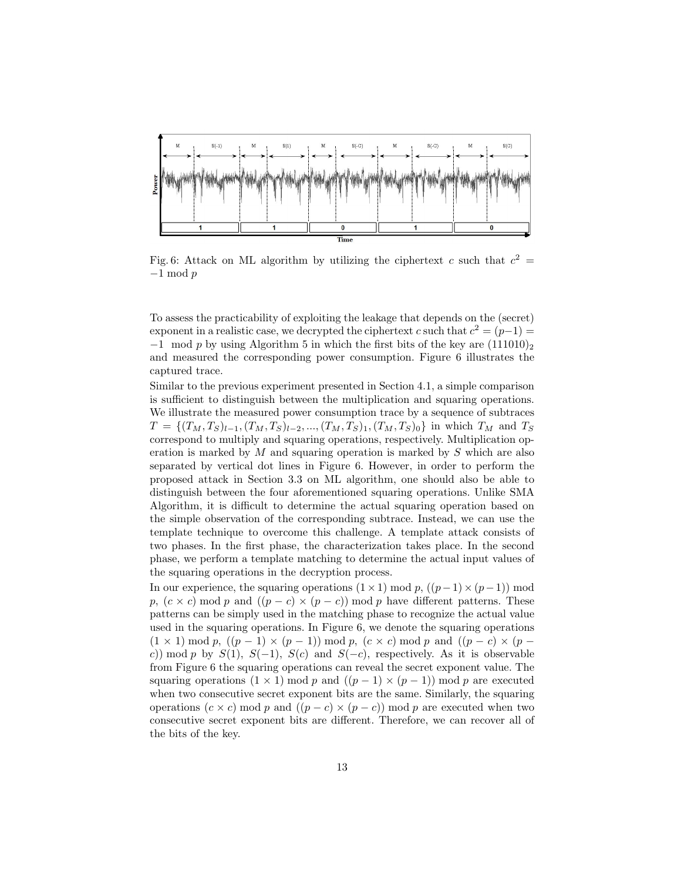

Fig. 6: Attack on ML algorithm by utilizing the ciphertext c such that  $c^2 =$ −1 mod p

To assess the practicability of exploiting the leakage that depends on the (secret) exponent in a realistic case, we decrypted the ciphertext c such that  $c^2 = (p-1)$  $-1$  mod p by using Algorithm 5 in which the first bits of the key are  $(111010)_2$ and measured the corresponding power consumption. Figure 6 illustrates the captured trace.

Similar to the previous experiment presented in Section 4.1, a simple comparison is sufficient to distinguish between the multiplication and squaring operations. We illustrate the measured power consumption trace by a sequence of subtraces  $T = \{(T_M, T_S)_{l-1}, (T_M, T_S)_{l-2}, ..., (T_M, T_S)_{1}, (T_M, T_S)_{0}\}\$ in which  $T_M$  and  $T_S$ correspond to multiply and squaring operations, respectively. Multiplication operation is marked by  $M$  and squaring operation is marked by  $S$  which are also separated by vertical dot lines in Figure 6. However, in order to perform the proposed attack in Section 3.3 on ML algorithm, one should also be able to distinguish between the four aforementioned squaring operations. Unlike SMA Algorithm, it is difficult to determine the actual squaring operation based on the simple observation of the corresponding subtrace. Instead, we can use the template technique to overcome this challenge. A template attack consists of two phases. In the first phase, the characterization takes place. In the second phase, we perform a template matching to determine the actual input values of the squaring operations in the decryption process.

In our experience, the squaring operations  $(1 \times 1)$  mod p,  $((p-1) \times (p-1))$  mod p,  $(c \times c)$  mod p and  $((p - c) \times (p - c))$  mod p have different patterns. These patterns can be simply used in the matching phase to recognize the actual value used in the squaring operations. In Figure 6, we denote the squaring operations  $(1 \times 1) \bmod p$ ,  $((p-1) \times (p-1)) \bmod p$ ,  $(c \times c) \bmod p$  and  $((p-c) \times (p-1))$ c)) mod p by  $S(1)$ ,  $S(-1)$ ,  $S(c)$  and  $S(-c)$ , respectively. As it is observable from Figure 6 the squaring operations can reveal the secret exponent value. The squaring operations  $(1 \times 1)$  mod p and  $((p-1) \times (p-1))$  mod p are executed when two consecutive secret exponent bits are the same. Similarly, the squaring operations  $(c \times c)$  mod p and  $((p - c) \times (p - c))$  mod p are executed when two consecutive secret exponent bits are different. Therefore, we can recover all of the bits of the key.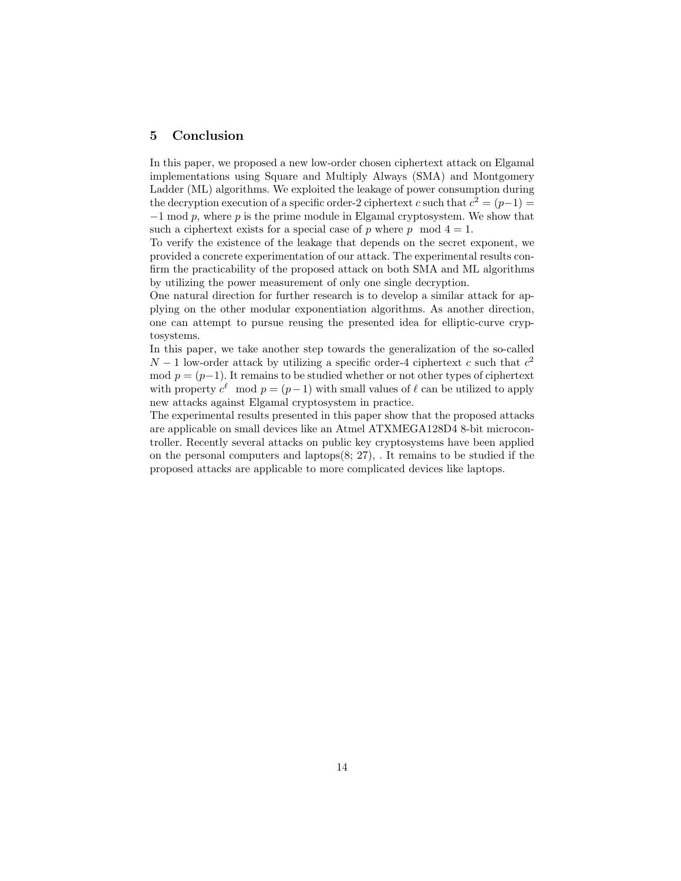# 5 Conclusion

In this paper, we proposed a new low-order chosen ciphertext attack on Elgamal implementations using Square and Multiply Always (SMA) and Montgomery Ladder (ML) algorithms. We exploited the leakage of power consumption during the decryption execution of a specific order-2 ciphertext c such that  $c^2 = (p-1)$  $-1$  mod p, where p is the prime module in Elgamal cryptosystem. We show that such a ciphertext exists for a special case of p where p mod  $4 = 1$ .

To verify the existence of the leakage that depends on the secret exponent, we provided a concrete experimentation of our attack. The experimental results confirm the practicability of the proposed attack on both SMA and ML algorithms by utilizing the power measurement of only one single decryption.

One natural direction for further research is to develop a similar attack for applying on the other modular exponentiation algorithms. As another direction, one can attempt to pursue reusing the presented idea for elliptic-curve cryptosystems.

In this paper, we take another step towards the generalization of the so-called  $N-1$  low-order attack by utilizing a specific order-4 ciphertext c such that  $c<sup>2</sup>$ mod  $p = (p-1)$ . It remains to be studied whether or not other types of ciphertext with property  $c^{\ell}$  mod  $p = (p-1)$  with small values of  $\ell$  can be utilized to apply new attacks against Elgamal cryptosystem in practice.

The experimental results presented in this paper show that the proposed attacks are applicable on small devices like an Atmel ATXMEGA128D4 8-bit microcontroller. Recently several attacks on public key cryptosystems have been applied on the personal computers and laptops(8; 27), . It remains to be studied if the proposed attacks are applicable to more complicated devices like laptops.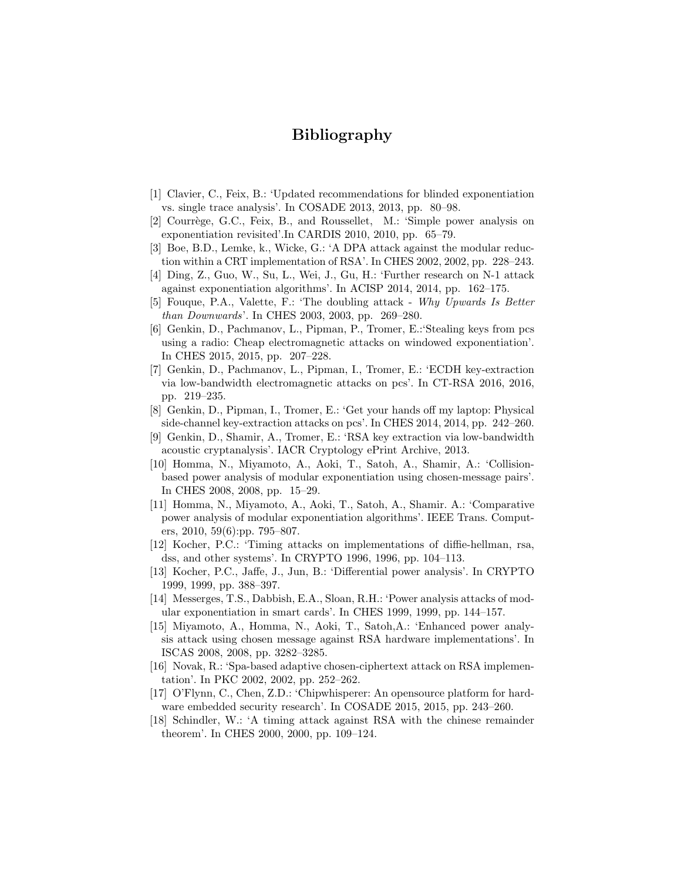# Bibliography

- [1] Clavier, C., Feix, B.: 'Updated recommendations for blinded exponentiation vs. single trace analysis'. In COSADE 2013, 2013, pp. 80–98.
- [2] Courrège, G.C., Feix, B., and Roussellet, M.: 'Simple power analysis on exponentiation revisited'.In CARDIS 2010, 2010, pp. 65–79.
- [3] Boe, B.D., Lemke, k., Wicke, G.: 'A DPA attack against the modular reduction within a CRT implementation of RSA'. In CHES 2002, 2002, pp. 228–243.
- [4] Ding, Z., Guo, W., Su, L., Wei, J., Gu, H.: 'Further research on N-1 attack against exponentiation algorithms'. In ACISP 2014, 2014, pp. 162–175.
- [5] Fouque, P.A., Valette, F.: 'The doubling attack Why Upwards Is Better than Downwards'. In CHES 2003, 2003, pp. 269–280.
- [6] Genkin, D., Pachmanov, L., Pipman, P., Tromer, E.:'Stealing keys from pcs using a radio: Cheap electromagnetic attacks on windowed exponentiation'. In CHES 2015, 2015, pp. 207–228.
- [7] Genkin, D., Pachmanov, L., Pipman, I., Tromer, E.: 'ECDH key-extraction via low-bandwidth electromagnetic attacks on pcs'. In CT-RSA 2016, 2016, pp. 219–235.
- [8] Genkin, D., Pipman, I., Tromer, E.: 'Get your hands off my laptop: Physical side-channel key-extraction attacks on pcs'. In CHES 2014, 2014, pp. 242–260.
- [9] Genkin, D., Shamir, A., Tromer, E.: 'RSA key extraction via low-bandwidth acoustic cryptanalysis'. IACR Cryptology ePrint Archive, 2013.
- [10] Homma, N., Miyamoto, A., Aoki, T., Satoh, A., Shamir, A.: 'Collisionbased power analysis of modular exponentiation using chosen-message pairs'. In CHES 2008, 2008, pp. 15–29.
- [11] Homma, N., Miyamoto, A., Aoki, T., Satoh, A., Shamir. A.: 'Comparative power analysis of modular exponentiation algorithms'. IEEE Trans. Computers, 2010, 59(6):pp. 795–807.
- [12] Kocher, P.C.: 'Timing attacks on implementations of diffie-hellman, rsa, dss, and other systems'. In CRYPTO 1996, 1996, pp. 104–113.
- [13] Kocher, P.C., Jaffe, J., Jun, B.: 'Differential power analysis'. In CRYPTO 1999, 1999, pp. 388–397.
- [14] Messerges, T.S., Dabbish, E.A., Sloan, R.H.: 'Power analysis attacks of modular exponentiation in smart cards'. In CHES 1999, 1999, pp. 144–157.
- [15] Miyamoto, A., Homma, N., Aoki, T., Satoh,A.: 'Enhanced power analysis attack using chosen message against RSA hardware implementations'. In ISCAS 2008, 2008, pp. 3282–3285.
- [16] Novak, R.: 'Spa-based adaptive chosen-ciphertext attack on RSA implementation'. In PKC 2002, 2002, pp. 252–262.
- [17] O'Flynn, C., Chen, Z.D.: 'Chipwhisperer: An opensource platform for hardware embedded security research'. In COSADE 2015, 2015, pp. 243–260.
- [18] Schindler, W.: 'A timing attack against RSA with the chinese remainder theorem'. In CHES 2000, 2000, pp. 109–124.